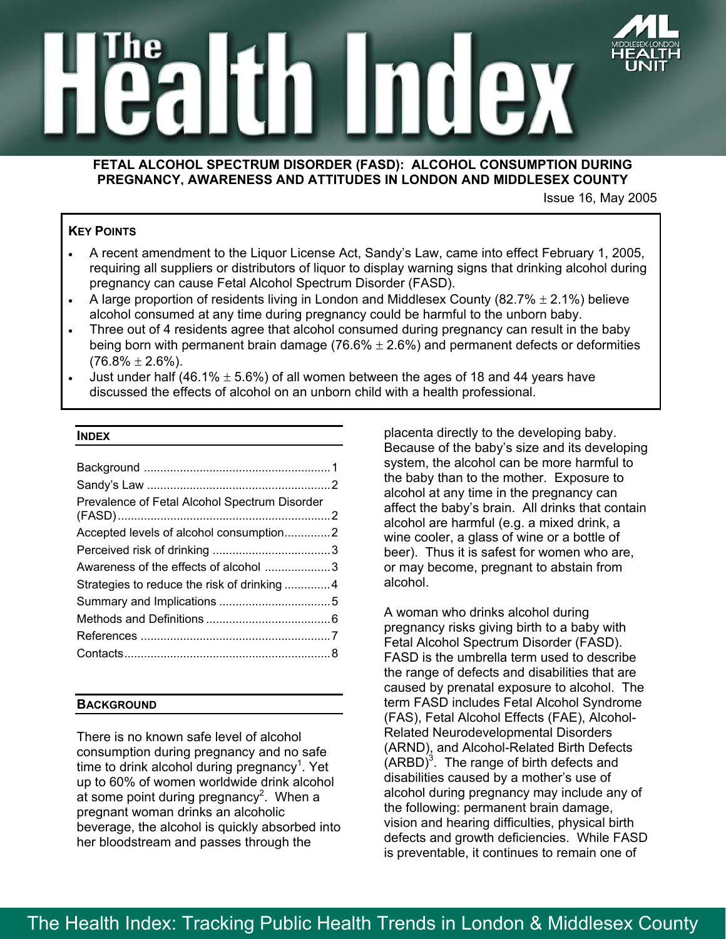



## **FETAL ALCOHOL SPECTRUM DISORDER (FASD): ALCOHOL CONSUMPTION DURING PREGNANCY, AWARENESS AND ATTITUDES IN LONDON AND MIDDLESEX COUNTY**

Issue 16, May 2005

# **KEY POINTS**

- A recent amendment to the Liquor License Act, Sandy's Law, came into effect February 1, 2005, requiring all suppliers or distributors of liquor to display warning signs that drinking alcohol during pregnancy can cause Fetal Alcohol Spectrum Disorder (FASD).
- A large proportion of residents living in London and Middlesex County (82.7%  $\pm$  2.1%) believe alcohol consumed at any time during pregnancy could be harmful to the unborn baby.
- Three out of 4 residents agree that alcohol consumed during pregnancy can result in the baby being born with permanent brain damage (76.6%  $\pm$  2.6%) and permanent defects or deformities  $(76.8\% \pm 2.6\%).$
- Just under half (46.1%  $\pm$  5.6%) of all women between the ages of 18 and 44 years have discussed the effects of alcohol on an unborn child with a health professional.

#### **INDEX**

| Awareness of the effects of alcohol 3        |
|----------------------------------------------|
| Strategies to reduce the risk of drinking  4 |
|                                              |
|                                              |
|                                              |
|                                              |
|                                              |

### **BACKGROUND**

There is no known safe level of alcohol consumption during pregnancy and no safe time to drink alcohol during pregnancy<sup>1</sup>. Yet up to 60% of women worldwide drink alcohol at some point during pregnancy<sup>2</sup>. When a pregnant woman drinks an alcoholic beverage, the alcohol is quickly absorbed into her bloodstream and passes through the

placenta directly to the developing baby. Because of the baby's size and its developing system, the alcohol can be more harmful to the baby than to the mother. Exposure to alcohol at any time in the pregnancy can affect the baby's brain. All drinks that contain alcohol are harmful (e.g. a mixed drink, a wine cooler, a glass of wine or a bottle of beer). Thus it is safest for women who are, or may become, pregnant to abstain from alcohol.

A woman who drinks alcohol during pregnancy risks giving birth to a baby with Fetal Alcohol Spectrum Disorder (FASD). FASD is the umbrella term used to describe the range of defects and disabilities that are caused by prenatal exposure to alcohol. The term FASD includes Fetal Alcohol Syndrome (FAS), Fetal Alcohol Effects (FAE), Alcohol-Related Neurodevelopmental Disorders (ARND), and Alcohol-Related Birth Defects  $(ARBD)^3$ . The range of birth defects and disabilities caused by a mother's use of alcohol during pregnancy may include any of the following: permanent brain damage, vision and hearing difficulties, physical birth defects and growth deficiencies. While FASD is preventable, it continues to remain one of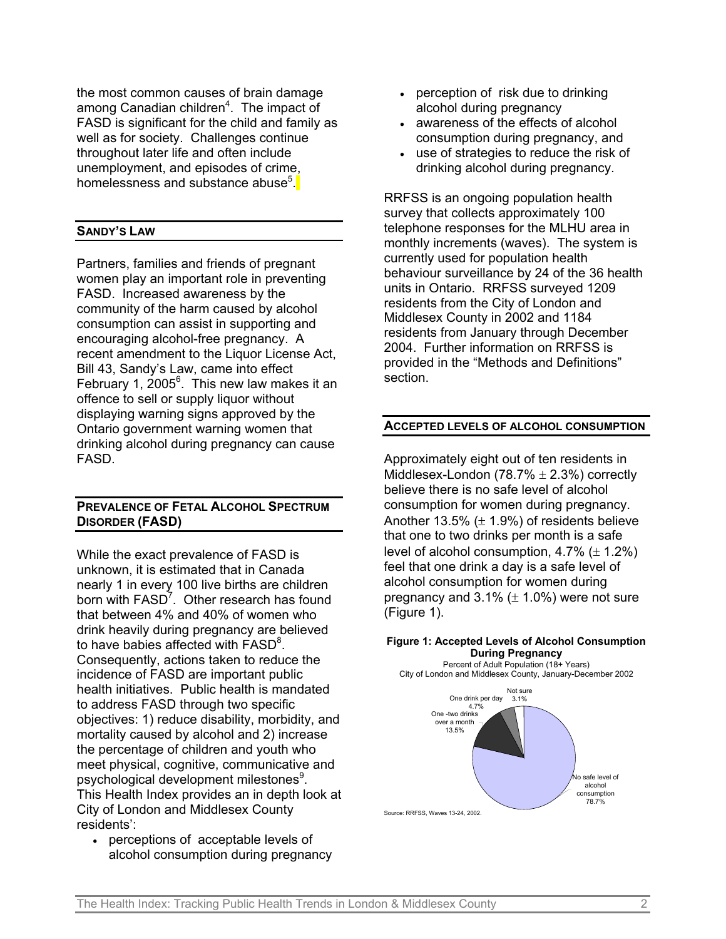the most common causes of brain damage among Canadian children<sup>4</sup>. The impact of FASD is significant for the child and family as well as for society. Challenges continue throughout later life and often include unemployment, and episodes of crime, homelessness and substance abuse<sup>5</sup>.

## **SANDY'S LAW**

Partners, families and friends of pregnant women play an important role in preventing FASD. Increased awareness by the community of the harm caused by alcohol consumption can assist in supporting and encouraging alcohol-free pregnancy. A recent amendment to the Liquor License Act, Bill 43, Sandy's Law, came into effect February 1, 2005<sup>6</sup>. This new law makes it an offence to sell or supply liquor without displaying warning signs approved by the Ontario government warning women that drinking alcohol during pregnancy can cause FASD.

# **PREVALENCE OF FETAL ALCOHOL SPECTRUM DISORDER (FASD)**

While the exact prevalence of FASD is unknown, it is estimated that in Canada nearly 1 in every 100 live births are children born with FASD<sup>7</sup>. Other research has found that between 4% and 40% of women who drink heavily during pregnancy are believed to have babies affected with FASD<sup>8</sup>. Consequently, actions taken to reduce the incidence of FASD are important public health initiatives. Public health is mandated to address FASD through two specific objectives: 1) reduce disability, morbidity, and mortality caused by alcohol and 2) increase the percentage of children and youth who meet physical, cognitive, communicative and psychological development milestones<sup>9</sup>. This Health Index provides an in depth look at City of London and Middlesex County residents':

• perceptions of acceptable levels of alcohol consumption during pregnancy

- perception of risk due to drinking alcohol during pregnancy
- awareness of the effects of alcohol consumption during pregnancy, and
- use of strategies to reduce the risk of drinking alcohol during pregnancy.

RRFSS is an ongoing population health survey that collects approximately 100 telephone responses for the MLHU area in monthly increments (waves). The system is currently used for population health behaviour surveillance by 24 of the 36 health units in Ontario. RRFSS surveyed 1209 residents from the City of London and Middlesex County in 2002 and 1184 residents from January through December 2004. Further information on RRFSS is provided in the "Methods and Definitions" section.

### **ACCEPTED LEVELS OF ALCOHOL CONSUMPTION**

Approximately eight out of ten residents in Middlesex-London (78.7%  $\pm$  2.3%) correctly believe there is no safe level of alcohol consumption for women during pregnancy. Another 13.5%  $(\pm 1.9\%)$  of residents believe that one to two drinks per month is a safe level of alcohol consumption,  $4.7\%$  ( $\pm$  1.2%) feel that one drink a day is a safe level of alcohol consumption for women during pregnancy and  $3.1\%$  ( $\pm$  1.0%) were not sure (Figure 1).

#### **Figure 1: Accepted Levels of Alcohol Consumption During Pregnancy**

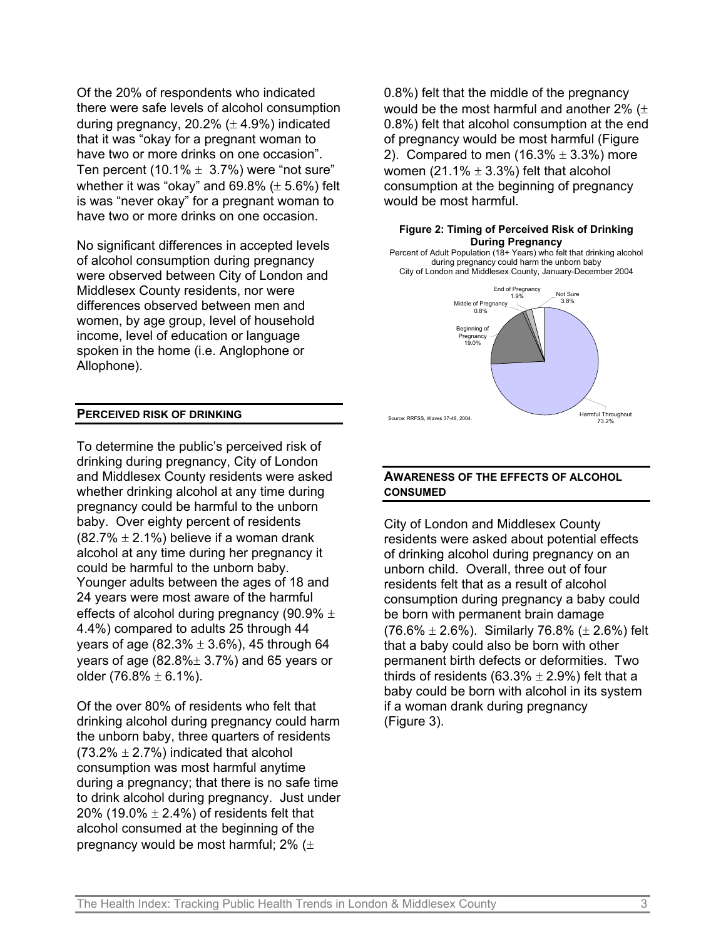Of the 20% of respondents who indicated there were safe levels of alcohol consumption during pregnancy,  $20.2\%$  ( $\pm$  4.9%) indicated that it was "okay for a pregnant woman to have two or more drinks on one occasion". Ten percent (10.1%  $\pm$  3.7%) were "not sure" whether it was "okay" and  $69.8\%$  ( $\pm$  5.6%) felt is was "never okay" for a pregnant woman to have two or more drinks on one occasion.

No significant differences in accepted levels of alcohol consumption during pregnancy were observed between City of London and Middlesex County residents, nor were differences observed between men and women, by age group, level of household income, level of education or language spoken in the home (i.e. Anglophone or Allophone).

## **PERCEIVED RISK OF DRINKING**

To determine the public's perceived risk of drinking during pregnancy, City of London and Middlesex County residents were asked whether drinking alcohol at any time during pregnancy could be harmful to the unborn baby. Over eighty percent of residents  $(82.7\% \pm 2.1\%)$  believe if a woman drank alcohol at any time during her pregnancy it could be harmful to the unborn baby. Younger adults between the ages of 18 and 24 years were most aware of the harmful effects of alcohol during pregnancy (90.9%  $\pm$ 4.4%) compared to adults 25 through 44 years of age (82.3%  $\pm$  3.6%), 45 through 64 years of age  $(82.8\% \pm 3.7\%)$  and 65 years or older (76.8%  $\pm$  6.1%).

Of the over 80% of residents who felt that drinking alcohol during pregnancy could harm the unborn baby, three quarters of residents  $(73.2\% \pm 2.7\%)$  indicated that alcohol consumption was most harmful anytime during a pregnancy; that there is no safe time to drink alcohol during pregnancy. Just under 20% (19.0%  $\pm$  2.4%) of residents felt that alcohol consumed at the beginning of the pregnancy would be most harmful;  $2\%$  ( $\pm$ 

0.8%) felt that the middle of the pregnancy would be the most harmful and another  $2\%$  ( $\pm$ 0.8%) felt that alcohol consumption at the end of pregnancy would be most harmful (Figure 2). Compared to men  $(16.3% \pm 3.3%)$  more women (21.1%  $\pm$  3.3%) felt that alcohol consumption at the beginning of pregnancy would be most harmful.

#### **Figure 2: Timing of Perceived Risk of Drinking During Pregnancy**

Percent of Adult Population (18+ Years) who felt that drinking alcohol during pregnancy could harm the unborn baby City of London and Middlesex County, January-December 2004



### **AWARENESS OF THE EFFECTS OF ALCOHOL CONSUMED**

City of London and Middlesex County residents were asked about potential effects of drinking alcohol during pregnancy on an unborn child. Overall, three out of four residents felt that as a result of alcohol consumption during pregnancy a baby could be born with permanent brain damage  $(76.6\% \pm 2.6\%)$ . Similarly 76.8% ( $\pm 2.6\%$ ) felt that a baby could also be born with other permanent birth defects or deformities. Two thirds of residents (63.3%  $\pm$  2.9%) felt that a baby could be born with alcohol in its system if a woman drank during pregnancy (Figure 3).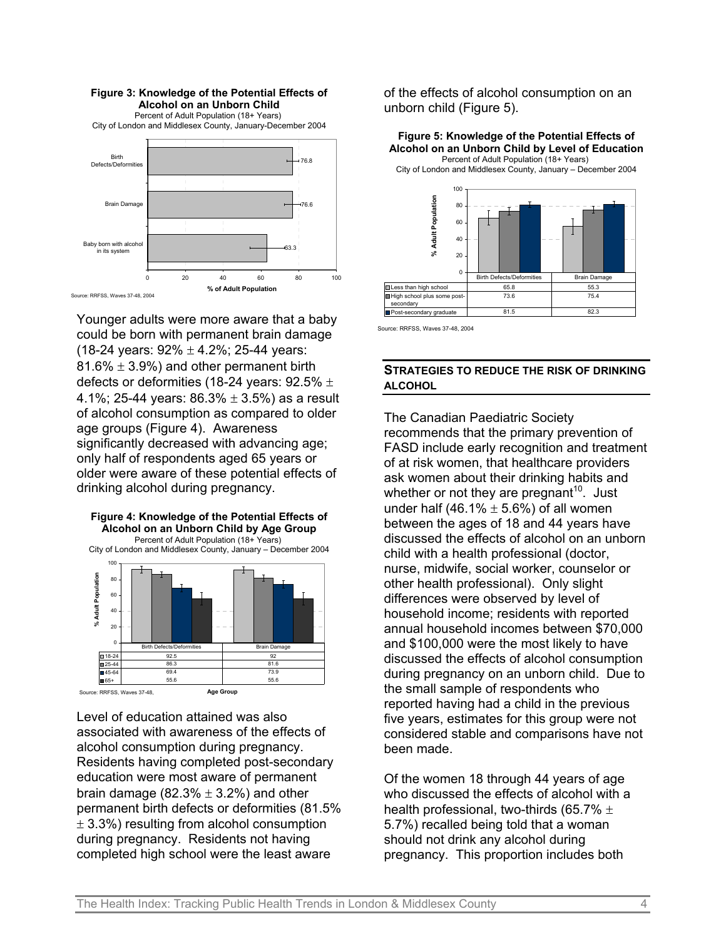

Younger adults were more aware that a baby could be born with permanent brain damage (18-24 years:  $92\% \pm 4.2\%$ ; 25-44 years: 81.6%  $\pm$  3.9%) and other permanent birth defects or deformities (18-24 years:  $92.5\% \pm$ 4.1%; 25-44 years:  $86.3\% \pm 3.5\%$  as a result of alcohol consumption as compared to older age groups (Figure 4). Awareness significantly decreased with advancing age; only half of respondents aged 65 years or older were aware of these potential effects of drinking alcohol during pregnancy.



Level of education attained was also associated with awareness of the effects of alcohol consumption during pregnancy. Residents having completed post-secondary education were most aware of permanent brain damage (82.3%  $\pm$  3.2%) and other permanent birth defects or deformities (81.5%  $\pm$  3.3%) resulting from alcohol consumption during pregnancy. Residents not having completed high school were the least aware

of the effects of alcohol consumption on an unborn child (Figure 5).

**Figure 5: Knowledge of the Potential Effects of Alcohol on an Unborn Child by Level of Education** Percent of Adult Population (18+ Years) City of London and Middlesex County, January – December 2004



**Post-secondary graduate** 81.5 82.3

Source: RRFSS, Waves 37-48, 2004

## **STRATEGIES TO REDUCE THE RISK OF DRINKING ALCOHOL**

The Canadian Paediatric Society recommends that the primary prevention of FASD include early recognition and treatment of at risk women, that healthcare providers ask women about their drinking habits and whether or not they are pregnant<sup>10</sup>. Just under half (46.1%  $\pm$  5.6%) of all women between the ages of 18 and 44 years have discussed the effects of alcohol on an unborn child with a health professional (doctor, nurse, midwife, social worker, counselor or other health professional). Only slight differences were observed by level of household income; residents with reported annual household incomes between \$70,000 and \$100,000 were the most likely to have discussed the effects of alcohol consumption during pregnancy on an unborn child. Due to the small sample of respondents who reported having had a child in the previous five years, estimates for this group were not considered stable and comparisons have not been made.

Of the women 18 through 44 years of age who discussed the effects of alcohol with a health professional, two-thirds (65.7%  $\pm$ 5.7%) recalled being told that a woman should not drink any alcohol during pregnancy. This proportion includes both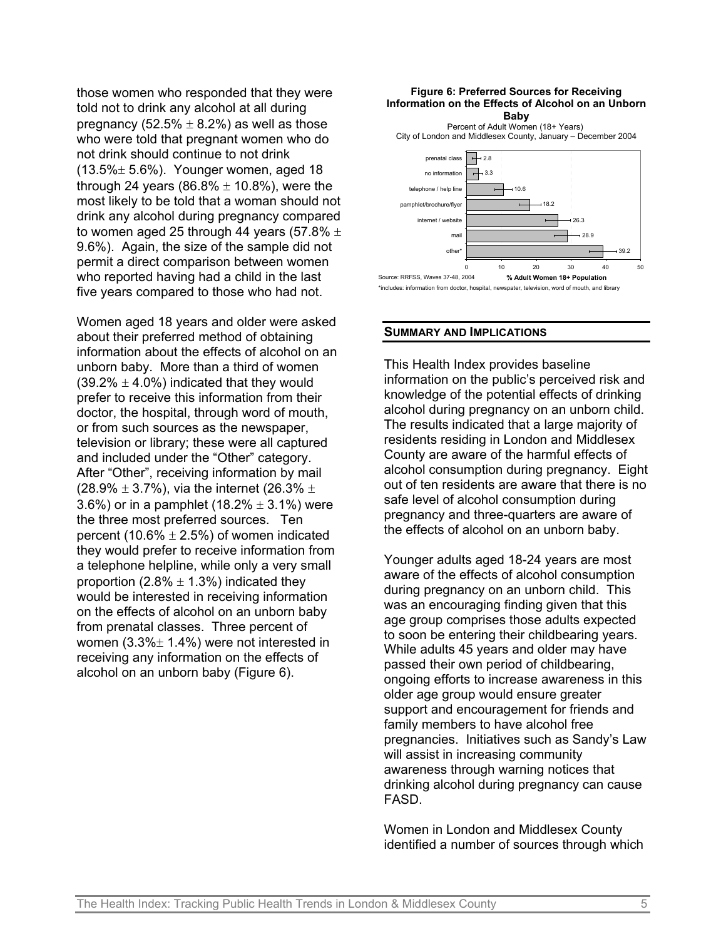those women who responded that they were told not to drink any alcohol at all during pregnancy (52.5%  $\pm$  8.2%) as well as those who were told that pregnant women who do not drink should continue to not drink  $(13.5\% \pm 5.6\%)$ . Younger women, aged 18 through 24 years (86.8%  $\pm$  10.8%), were the most likely to be told that a woman should not drink any alcohol during pregnancy compared to women aged 25 through 44 years (57.8%  $\pm$ 9.6%). Again, the size of the sample did not permit a direct comparison between women who reported having had a child in the last five years compared to those who had not.

Women aged 18 years and older were asked about their preferred method of obtaining information about the effects of alcohol on an unborn baby. More than a third of women  $(39.2\% \pm 4.0\%)$  indicated that they would prefer to receive this information from their doctor, the hospital, through word of mouth, or from such sources as the newspaper, television or library; these were all captured and included under the "Other" category. After "Other", receiving information by mail (28.9%  $\pm$  3.7%), via the internet (26.3%  $\pm$ 3.6%) or in a pamphlet (18.2%  $\pm$  3.1%) were the three most preferred sources. Ten percent (10.6%  $\pm$  2.5%) of women indicated they would prefer to receive information from a telephone helpline, while only a very small proportion (2.8%  $\pm$  1.3%) indicated they would be interested in receiving information on the effects of alcohol on an unborn baby from prenatal classes. Three percent of women  $(3.3\% \pm 1.4\%)$  were not interested in receiving any information on the effects of alcohol on an unborn baby (Figure 6).



#### **SUMMARY AND IMPLICATIONS**

This Health Index provides baseline information on the public's perceived risk and knowledge of the potential effects of drinking alcohol during pregnancy on an unborn child. The results indicated that a large majority of residents residing in London and Middlesex County are aware of the harmful effects of alcohol consumption during pregnancy. Eight out of ten residents are aware that there is no safe level of alcohol consumption during pregnancy and three-quarters are aware of the effects of alcohol on an unborn baby.

Younger adults aged 18-24 years are most aware of the effects of alcohol consumption during pregnancy on an unborn child. This was an encouraging finding given that this age group comprises those adults expected to soon be entering their childbearing years. While adults 45 years and older may have passed their own period of childbearing, ongoing efforts to increase awareness in this older age group would ensure greater support and encouragement for friends and family members to have alcohol free pregnancies. Initiatives such as Sandy's Law will assist in increasing community awareness through warning notices that drinking alcohol during pregnancy can cause FASD.

Women in London and Middlesex County identified a number of sources through which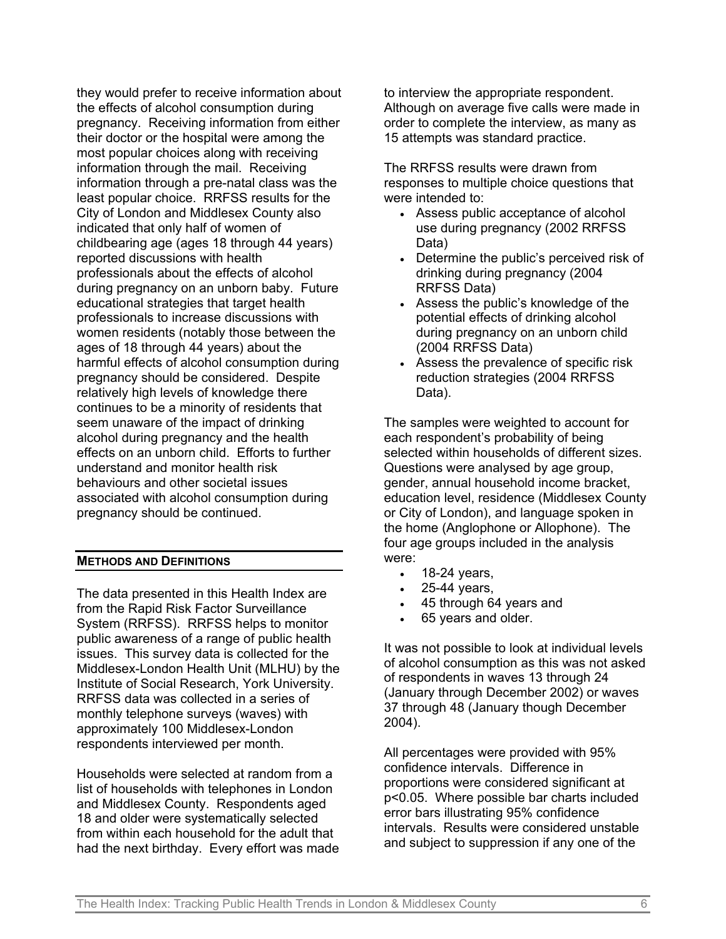they would prefer to receive information about the effects of alcohol consumption during pregnancy. Receiving information from either their doctor or the hospital were among the most popular choices along with receiving information through the mail. Receiving information through a pre-natal class was the least popular choice. RRFSS results for the City of London and Middlesex County also indicated that only half of women of childbearing age (ages 18 through 44 years) reported discussions with health professionals about the effects of alcohol during pregnancy on an unborn baby. Future educational strategies that target health professionals to increase discussions with women residents (notably those between the ages of 18 through 44 years) about the harmful effects of alcohol consumption during pregnancy should be considered. Despite relatively high levels of knowledge there continues to be a minority of residents that seem unaware of the impact of drinking alcohol during pregnancy and the health effects on an unborn child. Efforts to further understand and monitor health risk behaviours and other societal issues associated with alcohol consumption during pregnancy should be continued.

### **METHODS AND DEFINITIONS**

The data presented in this Health Index are from the Rapid Risk Factor Surveillance System (RRFSS). RRFSS helps to monitor public awareness of a range of public health issues. This survey data is collected for the Middlesex-London Health Unit (MLHU) by the Institute of Social Research, York University. RRFSS data was collected in a series of monthly telephone surveys (waves) with approximately 100 Middlesex-London respondents interviewed per month.

Households were selected at random from a list of households with telephones in London and Middlesex County. Respondents aged 18 and older were systematically selected from within each household for the adult that had the next birthday. Every effort was made to interview the appropriate respondent. Although on average five calls were made in order to complete the interview, as many as 15 attempts was standard practice.

The RRFSS results were drawn from responses to multiple choice questions that were intended to:

- Assess public acceptance of alcohol use during pregnancy (2002 RRFSS Data)
- Determine the public's perceived risk of drinking during pregnancy (2004 RRFSS Data)
- Assess the public's knowledge of the potential effects of drinking alcohol during pregnancy on an unborn child (2004 RRFSS Data)
- Assess the prevalence of specific risk reduction strategies (2004 RRFSS Data).

The samples were weighted to account for each respondent's probability of being selected within households of different sizes. Questions were analysed by age group, gender, annual household income bracket, education level, residence (Middlesex County or City of London), and language spoken in the home (Anglophone or Allophone). The four age groups included in the analysis were:

- 18-24 years,
- 25-44 years,
- 45 through 64 years and
- 65 years and older.

It was not possible to look at individual levels of alcohol consumption as this was not asked of respondents in waves 13 through 24 (January through December 2002) or waves 37 through 48 (January though December 2004).

All percentages were provided with 95% confidence intervals. Difference in proportions were considered significant at p<0.05. Where possible bar charts included error bars illustrating 95% confidence intervals. Results were considered unstable and subject to suppression if any one of the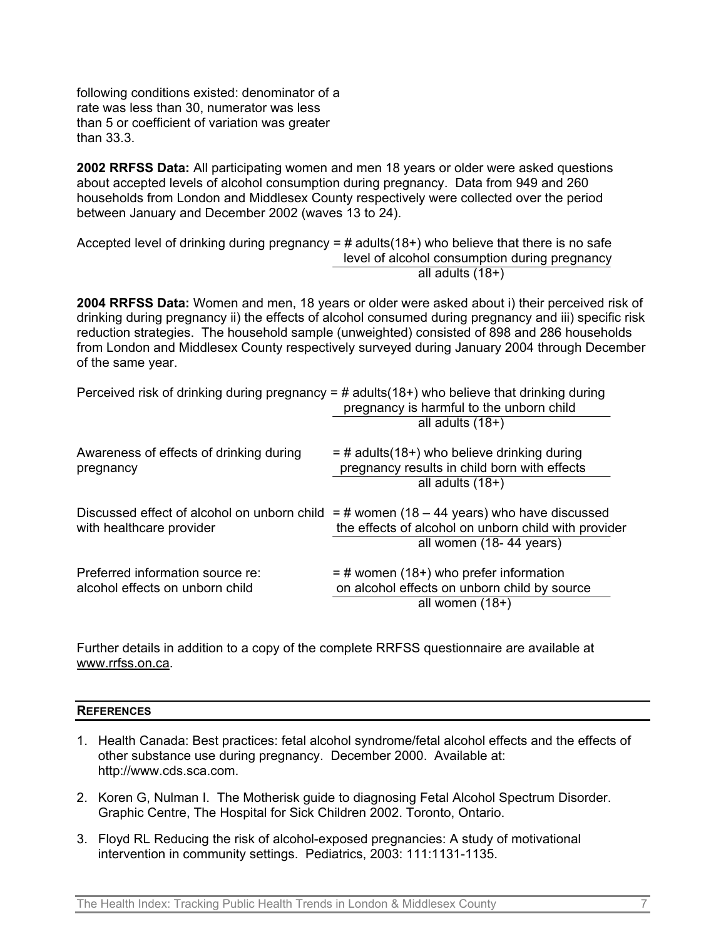following conditions existed: denominator of a rate was less than 30, numerator was less than 5 or coefficient of variation was greater than 33.3.

**2002 RRFSS Data:** All participating women and men 18 years or older were asked questions about accepted levels of alcohol consumption during pregnancy. Data from 949 and 260 households from London and Middlesex County respectively were collected over the period between January and December 2002 (waves 13 to 24).

Accepted level of drinking during pregnancy =  $\#$  adults(18+) who believe that there is no safe level of alcohol consumption during pregnancy all adults (18+)

**2004 RRFSS Data:** Women and men, 18 years or older were asked about i) their perceived risk of drinking during pregnancy ii) the effects of alcohol consumed during pregnancy and iii) specific risk reduction strategies. The household sample (unweighted) consisted of 898 and 286 households from London and Middlesex County respectively surveyed during January 2004 through December of the same year.

|                                                                         | Perceived risk of drinking during pregnancy = # adults( $18+$ ) who believe that drinking during<br>pregnancy is harmful to the unborn child<br>all adults $(18+)$ |
|-------------------------------------------------------------------------|--------------------------------------------------------------------------------------------------------------------------------------------------------------------|
| Awareness of effects of drinking during<br>pregnancy                    | $=$ # adults(18+) who believe drinking during<br>pregnancy results in child born with effects<br>all adults $(18+)$                                                |
| Discussed effect of alcohol on unborn child<br>with healthcare provider | $=$ # women (18 – 44 years) who have discussed<br>the effects of alcohol on unborn child with provider<br>all women (18-44 years)                                  |
| Preferred information source re:<br>alcohol effects on unborn child     | $=$ # women (18+) who prefer information<br>on alcohol effects on unborn child by source<br>all women $(18+)$                                                      |

Further details in addition to a copy of the complete RRFSS questionnaire are available at www.rrfss.on.ca.

#### **REFERENCES**

- 1. Health Canada: Best practices: fetal alcohol syndrome/fetal alcohol effects and the effects of other substance use during pregnancy. December 2000. Available at: [http://www.cds.sca.com.](http://www.cds.sca.com/)
- 2. Koren G, Nulman I. The Motherisk guide to diagnosing Fetal Alcohol Spectrum Disorder. Graphic Centre, The Hospital for Sick Children 2002. Toronto, Ontario.
- 3. Floyd RL Reducing the risk of alcohol-exposed pregnancies: A study of motivational intervention in community settings. Pediatrics, 2003: 111:1131-1135.